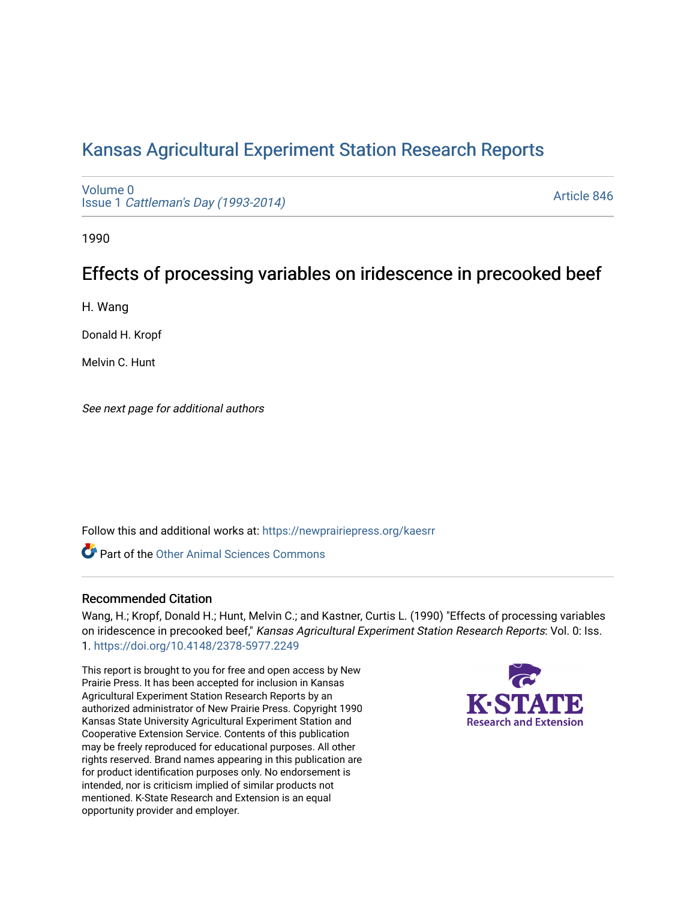# [Kansas Agricultural Experiment Station Research Reports](https://newprairiepress.org/kaesrr)

[Volume 0](https://newprairiepress.org/kaesrr/vol0) Issue 1 [Cattleman's Day \(1993-2014\)](https://newprairiepress.org/kaesrr/vol0/iss1) 

[Article 846](https://newprairiepress.org/kaesrr/vol0/iss1/846) 

1990

# Effects of processing variables on iridescence in precooked beef

H. Wang

Donald H. Kropf

Melvin C. Hunt

See next page for additional authors

Follow this and additional works at: [https://newprairiepress.org/kaesrr](https://newprairiepress.org/kaesrr?utm_source=newprairiepress.org%2Fkaesrr%2Fvol0%2Fiss1%2F846&utm_medium=PDF&utm_campaign=PDFCoverPages) 

**C** Part of the [Other Animal Sciences Commons](http://network.bepress.com/hgg/discipline/82?utm_source=newprairiepress.org%2Fkaesrr%2Fvol0%2Fiss1%2F846&utm_medium=PDF&utm_campaign=PDFCoverPages)

### Recommended Citation

Wang, H.; Kropf, Donald H.; Hunt, Melvin C.; and Kastner, Curtis L. (1990) "Effects of processing variables on iridescence in precooked beef," Kansas Agricultural Experiment Station Research Reports: Vol. 0: Iss. 1. <https://doi.org/10.4148/2378-5977.2249>

This report is brought to you for free and open access by New Prairie Press. It has been accepted for inclusion in Kansas Agricultural Experiment Station Research Reports by an authorized administrator of New Prairie Press. Copyright 1990 Kansas State University Agricultural Experiment Station and Cooperative Extension Service. Contents of this publication may be freely reproduced for educational purposes. All other rights reserved. Brand names appearing in this publication are for product identification purposes only. No endorsement is intended, nor is criticism implied of similar products not mentioned. K-State Research and Extension is an equal opportunity provider and employer.

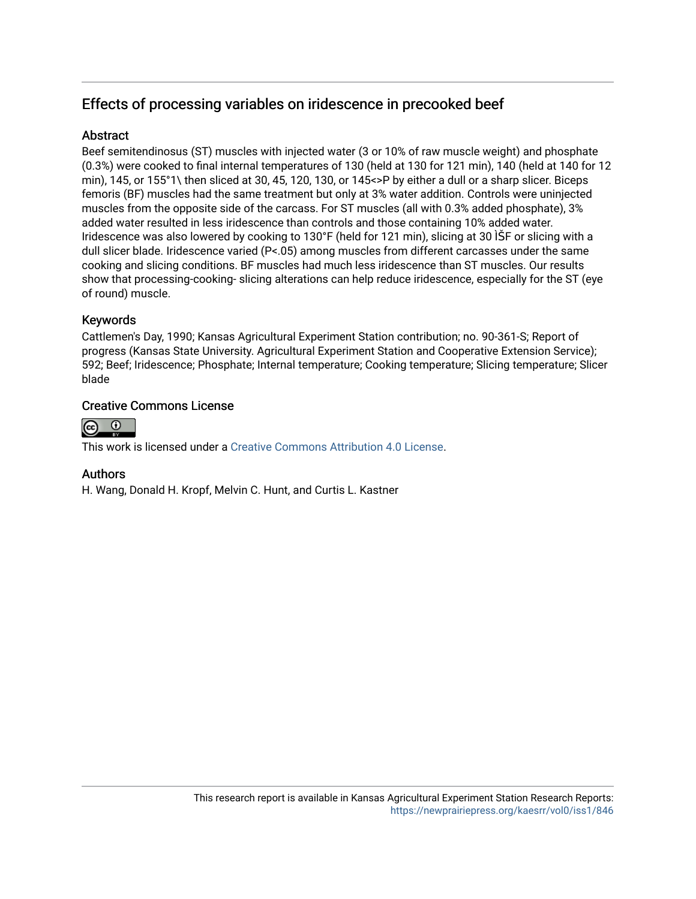# Effects of processing variables on iridescence in precooked beef

# **Abstract**

Beef semitendinosus (ST) muscles with injected water (3 or 10% of raw muscle weight) and phosphate (0.3%) were cooked to final internal temperatures of 130 (held at 130 for 121 min), 140 (held at 140 for 12 min), 145, or 155°1\ then sliced at 30, 45, 120, 130, or 145<>P by either a dull or a sharp slicer. Biceps femoris (BF) muscles had the same treatment but only at 3% water addition. Controls were uninjected muscles from the opposite side of the carcass. For ST muscles (all with 0.3% added phosphate), 3% added water resulted in less iridescence than controls and those containing 10% added water. Iridescence was also lowered by cooking to 130°F (held for 121 min), slicing at 30 ÌŠF or slicing with a dull slicer blade. Iridescence varied (P<.05) among muscles from different carcasses under the same cooking and slicing conditions. BF muscles had much less iridescence than ST muscles. Our results show that processing-cooking- slicing alterations can help reduce iridescence, especially for the ST (eye of round) muscle.

## Keywords

Cattlemen's Day, 1990; Kansas Agricultural Experiment Station contribution; no. 90-361-S; Report of progress (Kansas State University. Agricultural Experiment Station and Cooperative Extension Service); 592; Beef; Iridescence; Phosphate; Internal temperature; Cooking temperature; Slicing temperature; Slicer blade

# Creative Commons License



This work is licensed under a [Creative Commons Attribution 4.0 License](https://creativecommons.org/licenses/by/4.0/).

## Authors

H. Wang, Donald H. Kropf, Melvin C. Hunt, and Curtis L. Kastner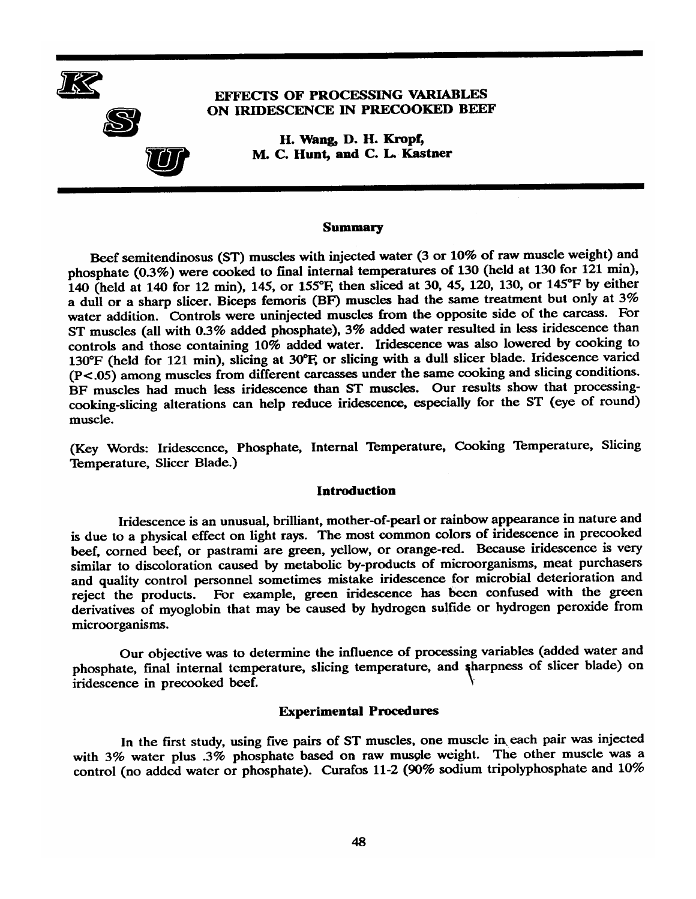

### **EFFECTS OF PROCESSING VARIABLES** ON IRIDESCENCE IN PRECOOKED BEEF

H. Wang, D. H. Kropf, M. C. Hunt, and C. L. Kastner

#### **Summary**

Beef semitendinosus (ST) muscles with injected water (3 or 10% of raw muscle weight) and phosphate (0.3%) were cooked to final internal temperatures of 130 (held at 130 for 121 min), 140 (held at 140 for 12 min), 145, or 155°F, then sliced at 30, 45, 120, 130, or 145°F by either a dull or a sharp slicer. Biceps femoris (BF) muscles had the same treatment but only at 3% water addition. Controls were uninjected muscles from the opposite side of the carcass. For ST muscles (all with 0.3% added phosphate), 3% added water resulted in less iridescence than controls and those containing 10% added water. Iridescence was also lowered by cooking to 130°F (held for 121 min), slicing at 30°F, or slicing with a dull slicer blade. Iridescence varied  $(P<.05)$  among muscles from different carcasses under the same cooking and slicing conditions. BF muscles had much less iridescence than ST muscles. Our results show that processingcooking-slicing alterations can help reduce iridescence, especially for the ST (eye of round) muscle.

(Key Words: Iridescence, Phosphate, Internal Temperature, Cooking Temperature, Slicing Temperature, Slicer Blade.)

#### **Introduction**

Iridescence is an unusual, brilliant, mother-of-pearl or rainbow appearance in nature and is due to a physical effect on light rays. The most common colors of iridescence in precooked beef, corned beef, or pastrami are green, yellow, or orange-red. Because iridescence is very similar to discoloration caused by metabolic by-products of microorganisms, meat purchasers and quality control personnel sometimes mistake iridescence for microbial deterioration and reject the products. For example, green iridescence has been confused with the green derivatives of myoglobin that may be caused by hydrogen sulfide or hydrogen peroxide from microorganisms.

Our objective was to determine the influence of processing variables (added water and phosphate, final internal temperature, slicing temperature, and sharpness of slicer blade) on iridescence in precooked beef.

#### **Experimental Procedures**

In the first study, using five pairs of ST muscles, one muscle in each pair was injected with 3% water plus .3% phosphate based on raw muscle weight. The other muscle was a control (no added water or phosphate). Curafos 11-2 (90% sodium tripolyphosphate and 10%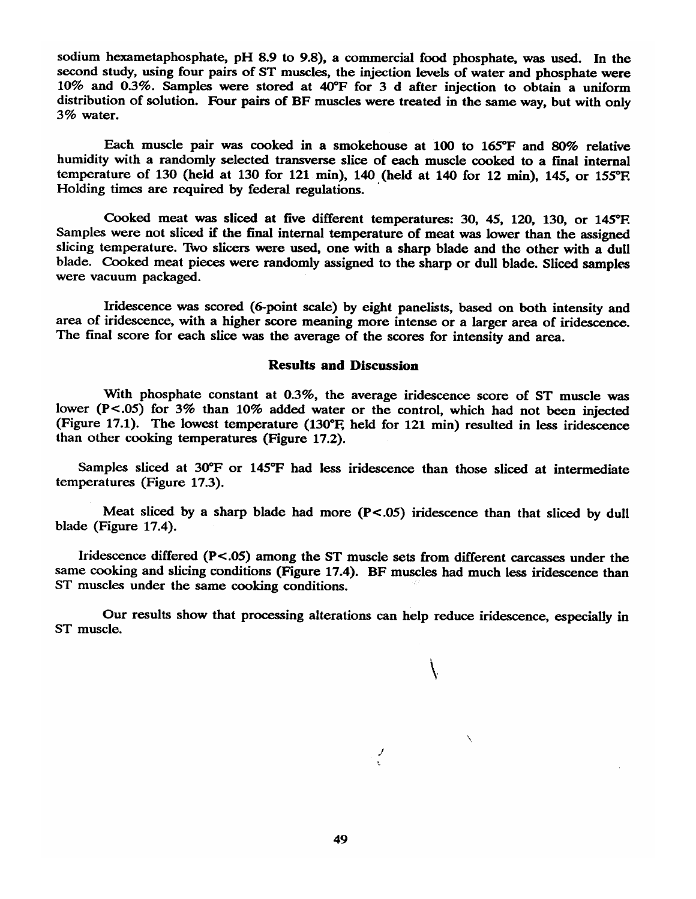sodium hexametaphosphate, pH 8.9 to 9.8), a commercial food phosphate, was used. In the second study, using four pairs of ST muscles, the injection levels of water and phosphate were 10% and 0.3%. Samples were stored at 40°F for 3 d after injection to obtain a uniform distribution of solution. Four pairs of BF muscles were treated in the same way, but with only 3% water.

Each muscle pair was cooked in a smokehouse at 100 to 165°F and 80% relative humidity with a randomly selected transverse slice of each muscle cooked to a final internal temperature of 130 (held at 130 for 121 min), 140 (held at 140 for 12 min), 145, or 155°F. Holding times are required by federal regulations.

Cooked meat was sliced at five different temperatures: 30, 45, 120, 130, or 145°F. Samples were not sliced if the final internal temperature of meat was lower than the assigned slicing temperature. Two slicers were used, one with a sharp blade and the other with a dull blade. Cooked meat pieces were randomly assigned to the sharp or dull blade. Sliced samples were vacuum packaged.

Iridescence was scored (6-point scale) by eight panelists, based on both intensity and area of iridescence, with a higher score meaning more intense or a larger area of iridescence. The final score for each slice was the average of the scores for intensity and area.

#### **Results and Discussion**

With phosphate constant at 0.3%, the average iridescence score of ST muscle was lower (P<.05) for 3% than 10% added water or the control, which had not been injected (Figure 17.1). The lowest temperature (130°F, held for 121 min) resulted in less iridescence than other cooking temperatures (Figure 17.2).

Samples sliced at 30°F or 145°F had less iridescence than those sliced at intermediate temperatures (Figure 17.3).

Meat sliced by a sharp blade had more  $(P<.05)$  iridescence than that sliced by dull blade (Figure 17.4).

Iridescence differed (P<.05) among the ST muscle sets from different carcasses under the same cooking and slicing conditions (Figure 17.4). BF muscles had much less iridescence than ST muscles under the same cooking conditions.

Our results show that processing alterations can help reduce iridescence, especially in ST muscle.

 $\mathcal{N}$ 

 $\mathcal{J}$